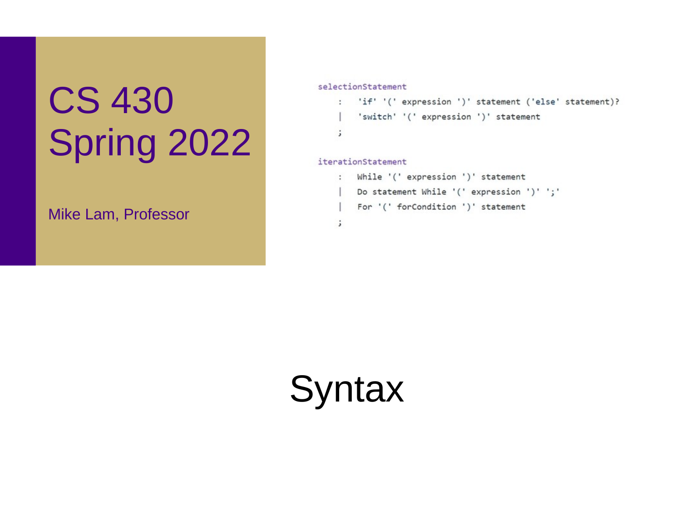# CS 430 Spring 2022

Mike Lam, Professor

selectionStatement

```
: 'if' '(' expression ')' statement ('else' statement)?
   'switch' '(' expression ')' statement
\cdot
```
#### iterationStatement

```
: While '(' expression ')' statement
   Do statement While '(' expression ')' ';'
| For '(' forCondition ')' statement
\cdot
```
**Syntax**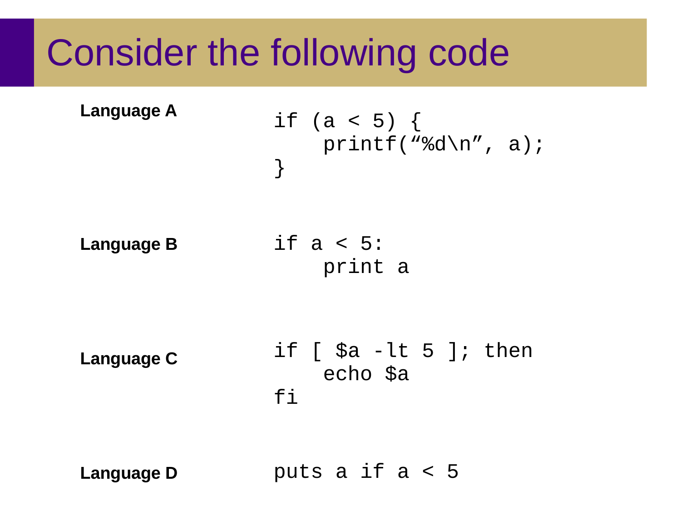#### Consider the following code

**Language A**

$$
\begin{array}{c}\n \text{if } (a < 5) \{ \\
 \text{printf("%d\n", a);\n}\n \end{array}
$$

**Language B**

if a < 5: print a

**Language C**

if  $\lceil$  \$a -lt 5 ]; then echo \$a  $f_1$ 

**Language D**

puts a if a < 5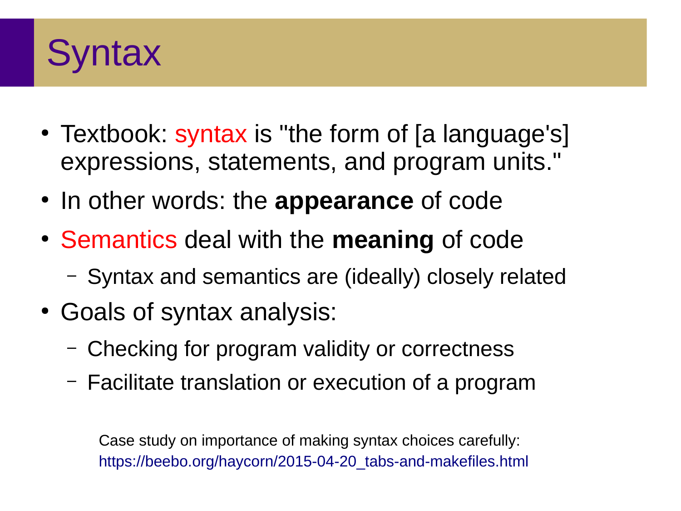

- Textbook: syntax is "the form of [a language's] expressions, statements, and program units."
- In other words: the **appearance** of code
- Semantics deal with the **meaning** of code
	- Syntax and semantics are (ideally) closely related
- Goals of syntax analysis:
	- Checking for program validity or correctness
	- Facilitate translation or execution of a program

Case study on importance of making syntax choices carefully: [https://beebo.org/haycorn/2015-04-20\\_tabs-and-makefiles.html](https://beebo.org/haycorn/2015-04-20_tabs-and-makefiles.html)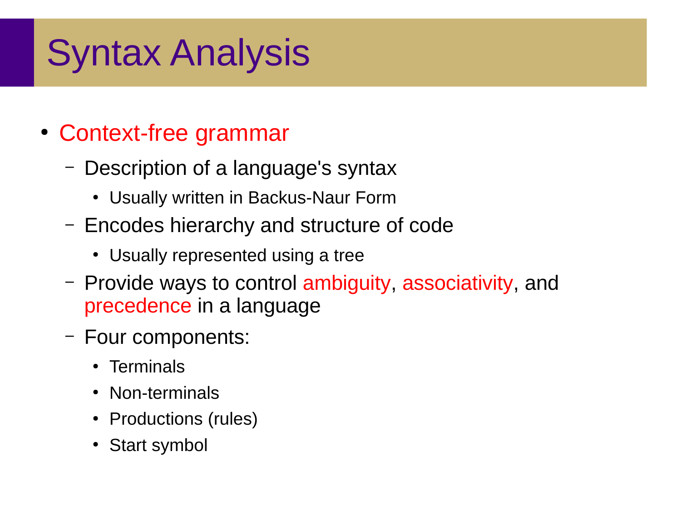## Syntax Analysis

#### • Context-free grammar

- Description of a language's syntax
	- Usually written in Backus-Naur Form
- Encodes hierarchy and structure of code
	- Usually represented using a tree
- Provide ways to control ambiguity, associativity, and precedence in a language
- Four components:
	- Terminals
	- Non-terminals
	- Productions (rules)
	- Start symbol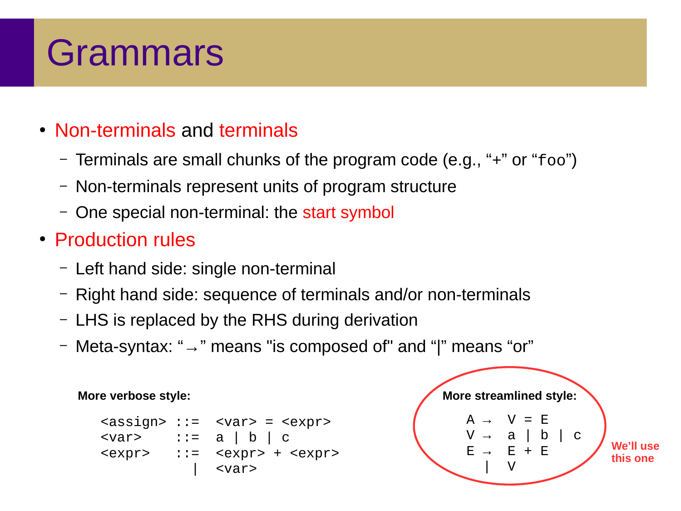#### Grammars

#### • Non-terminals and terminals

- Terminals are small chunks of the program code (e.g., "+" or "foo")
- Non-terminals represent units of program structure
- One special non-terminal: the start symbol
- Production rules
	- Left hand side: single non-terminal
	- Right hand side: sequence of terminals and/or non-terminals
	- LHS is replaced by the RHS during derivation
	- Meta-syntax: "→" means "is composed of" and "|" means "or"

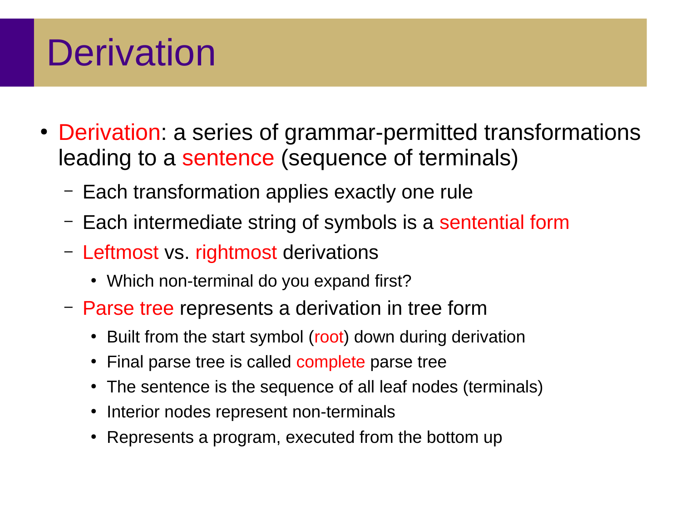### **Derivation**

- Derivation: a series of grammar-permitted transformations leading to a sentence (sequence of terminals)
	- Each transformation applies exactly one rule
	- Each intermediate string of symbols is a sentential form
	- Leftmost vs. rightmost derivations
		- Which non-terminal do you expand first?
	- Parse tree represents a derivation in tree form
		- Built from the start symbol (root) down during derivation
		- Final parse tree is called complete parse tree
		- The sentence is the sequence of all leaf nodes (terminals)
		- Interior nodes represent non-terminals
		- Represents a program, executed from the bottom up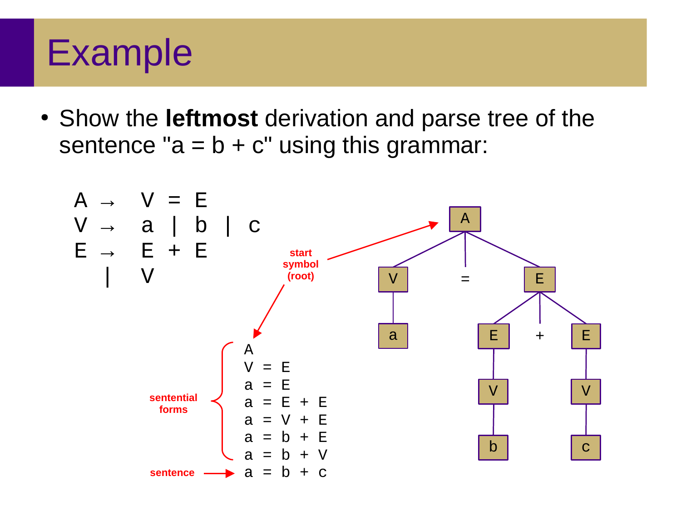#### Example

• Show the **leftmost** derivation and parse tree of the sentence " $a = b + c$ " using this grammar:

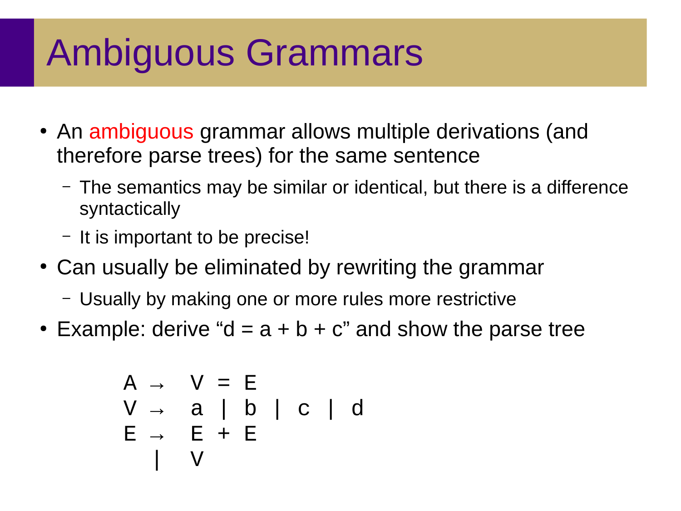## Ambiguous Grammars

- An ambiguous grammar allows multiple derivations (and therefore parse trees) for the same sentence
	- The semantics may be similar or identical, but there is a difference syntactically
	- It is important to be precise!
- Can usually be eliminated by rewriting the grammar
	- Usually by making one or more rules more restrictive
- Example: derive "d =  $a + b + c$ " and show the parse tree

$$
A \rightarrow V = E \nV \rightarrow a | b | c | d \nE \rightarrow E + E \nV
$$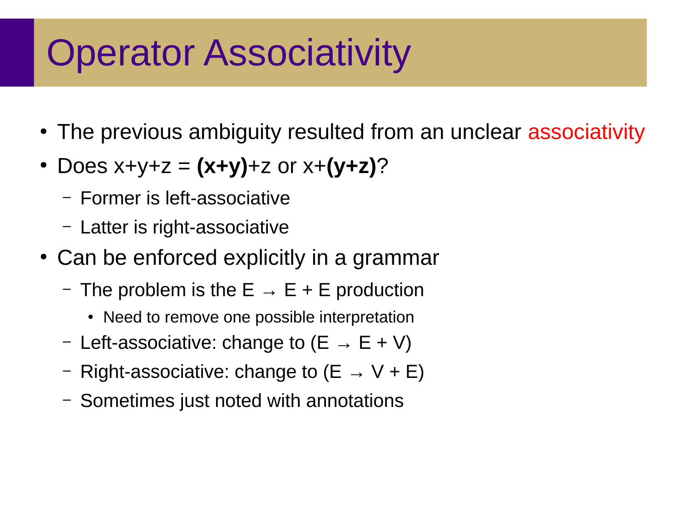#### Operator Associativity

- The previous ambiguity resulted from an unclear associativity
- Does  $x+y+z = (x+y)+z$  or  $x+(y+z)$ ?
	- Former is left-associative
	- Latter is right-associative
- Can be enforced explicitly in a grammar
	- The problem is the  $E \rightarrow E + E$  production
		- Need to remove one possible interpretation
	- Left-associative: change to  $(E \rightarrow E + V)$
	- Right-associative: change to  $(E \rightarrow V + E)$
	- Sometimes just noted with annotations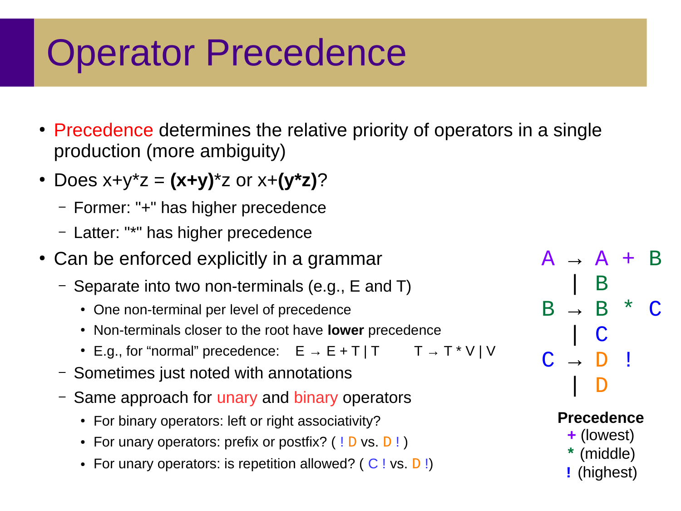#### Operator Precedence

- Precedence determines the relative priority of operators in a single production (more ambiguity)
- Does x+y\*z = **(x+y)**\*z or x+**(y\*z)**?
	- Former: "+" has higher precedence
	- Latter: "\*" has higher precedence
- Can be enforced explicitly in a grammar
	- Separate into two non-terminals (e.g., E and T)
		- One non-terminal per level of precedence
		- Non-terminals closer to the root have **lower** precedence
		- E.g., for "normal" precedence:  $E \rightarrow E + T | T$   $T \rightarrow T^*V | V$
	- Sometimes just noted with annotations
	- Same approach for unary and binary operators
		- For binary operators: left or right associativity?
		- For unary operators: prefix or postfix?  $( | D \text{ vs. } D | )$
		- For unary operators: is repetition allowed? ( $C$ ! vs.  $D$ !)

 $A \rightarrow A +$  | B  $B \rightarrow B$  \* | C  $C \rightarrow D$  ! | D

#### **Precedence**

- **+** (lowest)
- **\*** (middle)
- **!** (highest)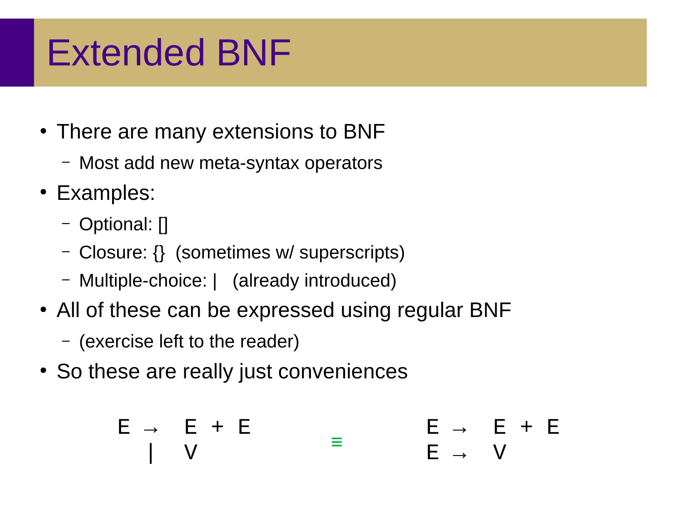#### Extended BNF

- There are many extensions to BNF
	- Most add new meta-syntax operators
- Examples:
	- Optional: []
	- Closure: {} (sometimes w/ superscripts)
	- Multiple-choice: | (already introduced)
- All of these can be expressed using regular BNF
	- (exercise left to the reader)
- So these are really just conveniences

$$
E \rightarrow E + E
$$
  
\n
$$
I \quad V
$$
  
\n
$$
E \rightarrow E + E
$$
  
\n
$$
E \rightarrow V
$$
  
\n
$$
E \rightarrow V
$$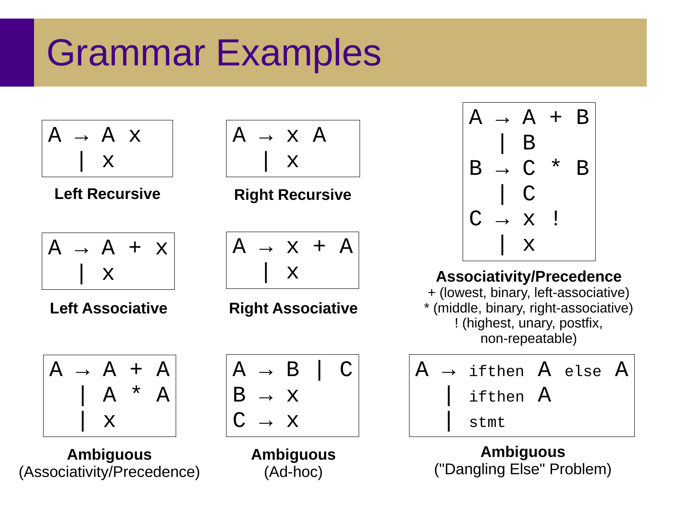### Grammar Examples







**Ambiguous** (Associativity/Precedence)



**Left Recursive <b>Right Recursive** 



**Left Associative Right Associative**



**Ambiguous** (Ad-hoc)



**Associativity/Precedence** + (lowest, binary, left-associative) \* (middle, binary, right-associative) ! (highest, unary, postfix, non-repeatable)

$$
\begin{array}{|c|} \hline A & \rightarrow \text{ if then } A \text{ else } A \\ \hline \text{ i } \text{ if then } A \\ \text{ s } \text{ t } \text{ m } \text{ t} \end{array}
$$

**Ambiguous** ("Dangling Else" Problem)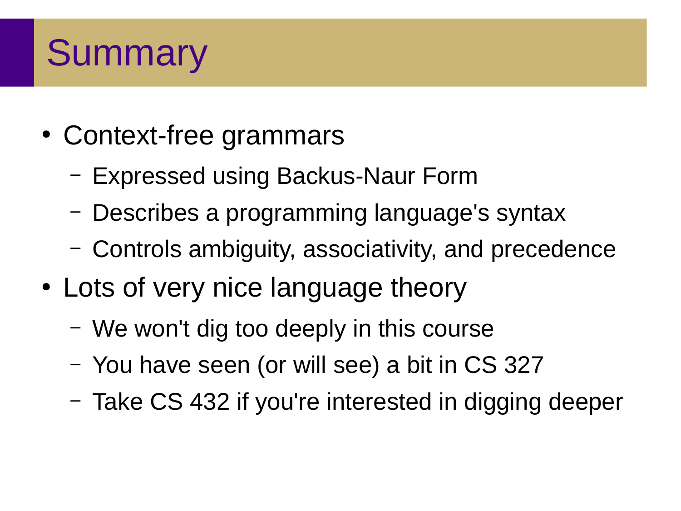### **Summary**

- Context-free grammars
	- Expressed using Backus-Naur Form
	- Describes a programming language's syntax
	- Controls ambiguity, associativity, and precedence
- Lots of very nice language theory
	- We won't dig too deeply in this course
	- You have seen (or will see) a bit in CS 327
	- Take CS 432 if you're interested in digging deeper